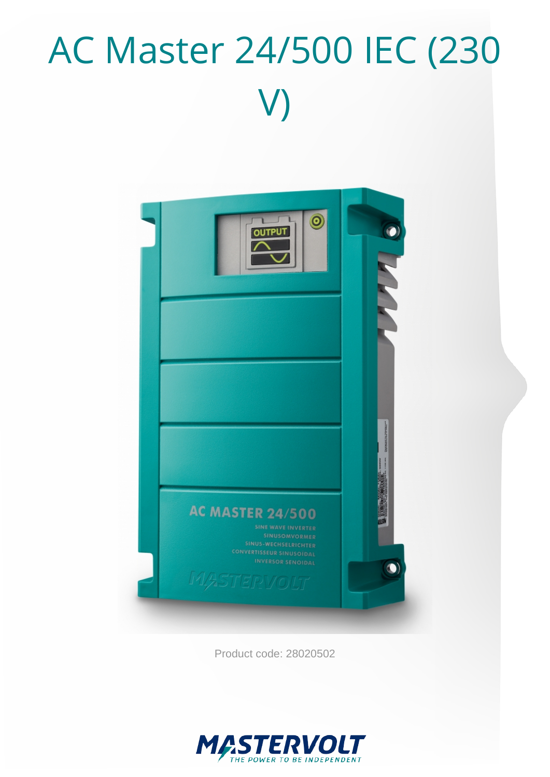# AC Master 24/500 IEC (230 V)



Product code: 28020502

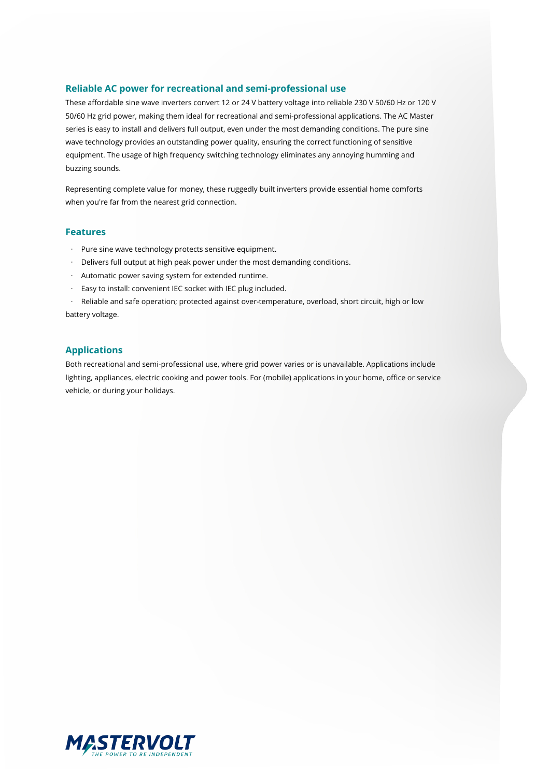#### **Reliable AC power for recreational and semi-professional use**

These affordable sine wave inverters convert 12 or 24 V battery voltage into reliable 230 V 50/60 Hz or 120 V 50/60 Hz grid power, making them ideal for recreational and semi-professional applications. The AC Master series is easy to install and delivers full output, even under the most demanding conditions. The pure sine wave technology provides an outstanding power quality, ensuring the correct functioning of sensitive equipment. The usage of high frequency switching technology eliminates any annoying humming and buzzing sounds.

Representing complete value for money, these ruggedly built inverters provide essential home comforts when you're far from the nearest grid connection.

#### **Features**

- · Pure sine wave technology protects sensitive equipment.
- · Delivers full output at high peak power under the most demanding conditions.
- · Automatic power saving system for extended runtime.
- · Easy to install: convenient IEC socket with IEC plug included.

· Reliable and safe operation; protected against over-temperature, overload, short circuit, high or low battery voltage.

#### **Applications**

Both recreational and semi-professional use, where grid power varies or is unavailable. Applications include lighting, appliances, electric cooking and power tools. For (mobile) applications in your home, office or service vehicle, or during your holidays.